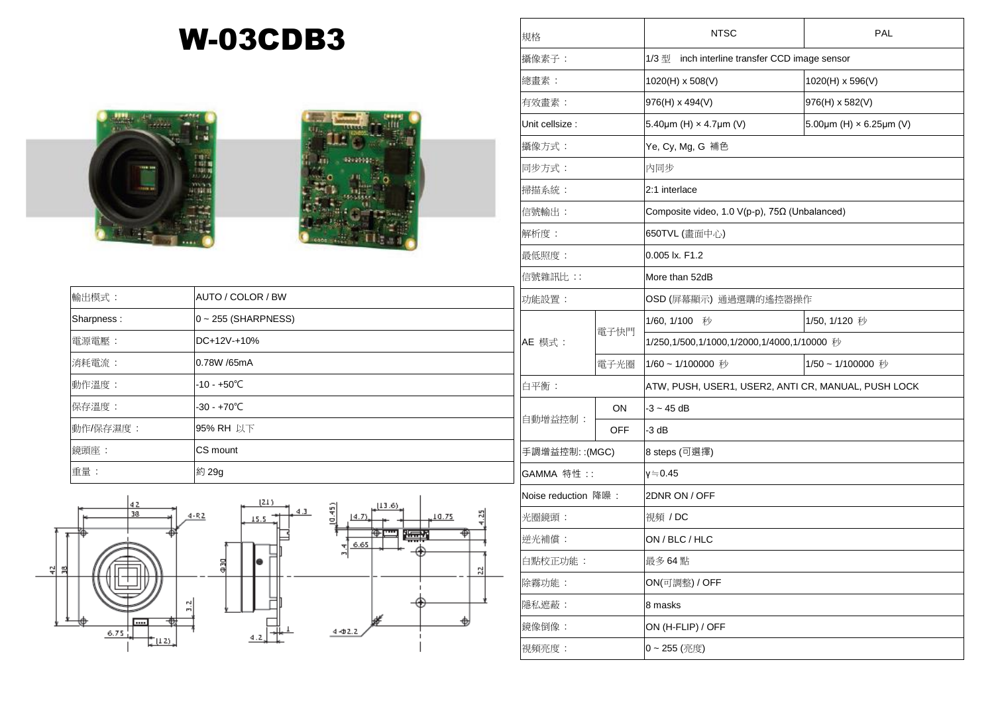## W-03CDB3





| 輸出模式:      | AUTO / COLOR / BW        | 功  |
|------------|--------------------------|----|
| Sharpness: | $0 \sim 255$ (SHARPNESS) |    |
| 電源電壓:      | DC+12V-+10%              | AI |
| 消耗電流:      | 0.78W /65mA              |    |
| 動作溫度:      | $-10 - +50^{\circ}C$     | 白  |
| 保存溫度:      | $-30 - +70^{\circ}C$     |    |
| 動作/保存濕度:   | 95% RH 以下                | 自  |
| 鏡頭座:       | CS mount                 | 手  |
| 重量:        | 約 29g                    | G, |



| 規格                  |      | <b>NTSC</b>                                         | <b>PAL</b>                                 |  |
|---------------------|------|-----------------------------------------------------|--------------------------------------------|--|
| 攝像素子:               |      | 1/3型<br>inch interline transfer CCD image sensor    |                                            |  |
| 總畫素:                |      | 1020(H) x 508(V)                                    | 1020(H) x 596(V)                           |  |
| 有效畫素:               |      | 976(H) x 494(V)                                     | 976(H) x 582(V)                            |  |
| Unit cellsize :     |      | 5.40 $\mu$ m (H) $\times$ 4.7 $\mu$ m (V)           | 5.00 $\mu$ m (H) $\times$ 6.25 $\mu$ m (V) |  |
| 攝像方式:               |      | Ye, Cy, Mg, G 補色                                    |                                            |  |
| 同步方式:               |      | 内同步                                                 |                                            |  |
| 掃描系統:               |      | 2:1 interlace                                       |                                            |  |
| 信號輸出:               |      | Composite video, 1.0 V(p-p), 75Ω (Unbalanced)       |                                            |  |
| 解析度:                |      | 650TVL (畫面中心)                                       |                                            |  |
| 最低照度:               |      | 0.005 lx. F1.2                                      |                                            |  |
| 信號雜訊比:              |      | More than 52dB                                      |                                            |  |
| 功能設置:               |      | OSD (屏幕顯示) 通過選購的遙控器操作                               |                                            |  |
|                     | 電子快門 | 1/60, 1/100<br>秒                                    | 1/50, 1/120 秒                              |  |
| AE 模式:              |      | 1/250,1/500,1/1000,1/2000,1/4000,1/10000 秒          |                                            |  |
|                     | 電子光圈 | 1/60~1/100000 秒                                     | 1/50~1/100000 秒                            |  |
| 白平衡:                |      | ATW, PUSH, USER1, USER2, ANTI CR, MANUAL, PUSH LOCK |                                            |  |
| 自動增益控制:             | ON   | $-3 - 45$ dB                                        |                                            |  |
|                     | OFF  | -3 dB                                               |                                            |  |
| 手調增益控制:: (MGC)      |      | 8 steps (可選擇)                                       |                                            |  |
| GAMMA 特性::          |      | γ≒0.45                                              |                                            |  |
| Noise reduction 降噪: |      | 2DNR ON / OFF                                       |                                            |  |
| 光圈鏡頭:               |      | 視頻 / DC                                             |                                            |  |
| 逆光補償:               |      | ON / BLC / HLC                                      |                                            |  |
| 白點校正功能:             |      | 最多 64 點                                             |                                            |  |
| 除霧功能:               |      | ON(可調整) / OFF                                       |                                            |  |
| 隱私遮蔽:               |      | 8 masks                                             |                                            |  |
| 鏡像倒像:               |      | ON (H-FLIP) / OFF                                   |                                            |  |
| 視頻亮度:               |      | 0~255 (亮度)                                          |                                            |  |